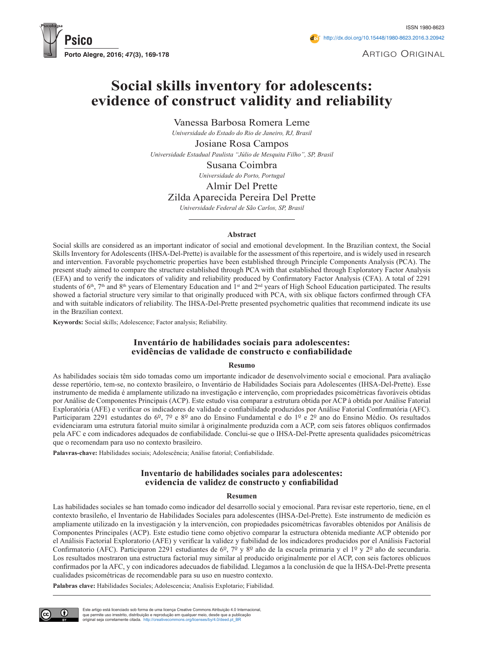

Artigo Original

# **Social skills inventory for adolescents: evidence of construct validity and reliability**

Vanessa Barbosa Romera Leme *Universidade do Estado do Rio de Janeiro, RJ, Brasil*

Josiane Rosa Campos

*Universidade Estadual Paulista "Júlio de Mesquita Filho", SP, Brasil*

Susana Coimbra

*Universidade do Porto, Portugal*

Almir Del Prette

#### Zilda Aparecida Pereira Del Prette

*Universidade Federal de São Carlos, SP, Brasil*

#### **Abstract**

Social skills are considered as an important indicator of social and emotional development. In the Brazilian context, the Social Skills Inventory for Adolescents (IHSA-Del-Prette) is available for the assessment of this repertoire, and is widely used in research and intervention. Favorable psychometric properties have been established through Principle Components Analysis (PCA). The present study aimed to compare the structure established through PCA with that established through Exploratory Factor Analysis (EFA) and to verify the indicators of validity and reliability produced by Confirmatory Factor Analysis (CFA). A total of 2291 students of  $6<sup>th</sup>$ , 7<sup>th</sup> and 8<sup>th</sup> years of Elementary Education and 1<sup>st</sup> and 2<sup>nd</sup> years of High School Education participated. The results showed a factorial structure very similar to that originally produced with PCA, with six oblique factors confirmed through CFA and with suitable indicators of reliability. The IHSA-Del-Prette presented psychometric qualities that recommend indicate its use in the Brazilian context.

**Keywords:** Social skills; Adolescence; Factor analysis; Reliability.

# **Inventário de habilidades sociais para adolescentes: evidências de validade de constructo e confiabilidade**

#### **Resumo**

As habilidades sociais têm sido tomadas como um importante indicador de desenvolvimento social e emocional. Para avaliação desse repertório, tem-se, no contexto brasileiro, o Inventário de Habilidades Sociais para Adolescentes (IHSA-Del-Prette). Esse instrumento de medida é amplamente utilizado na investigação e intervenção, com propriedades psicométricas favoráveis obtidas por Análise de Componentes Principais (ACP). Este estudo visa comparar a estrutura obtida por ACP à obtida por Análise Fatorial Exploratória (AFE) e verificar os indicadores de validade e confiabilidade produzidos por Análise Fatorial Confirmatória (AFC). Participaram 2291 estudantes do 6º, 7º e 8º ano do Ensino Fundamental e do 1º e 2º ano do Ensino Médio. Os resultados evidenciaram uma estrutura fatorial muito similar à originalmente produzida com a ACP, com seis fatores oblíquos confirmados pela AFC e com indicadores adequados de confiabilidade. Conclui-se que o IHSA-Del-Prette apresenta qualidades psicométricas que o recomendam para uso no contexto brasileiro.

**Palavras-chave:** Habilidades sociais; Adolescência; Análise fatorial; Confiabilidade.

# **Inventario de habilidades sociales para adolescentes: evidencia de validez de constructo y confiabilidad**

#### **Resumen**

Las habilidades sociales se han tomado como indicador del desarrollo social y emocional. Para revisar este repertorio, tiene, en el contexto brasileño, el Inventario de Habilidades Sociales para adolescentes (IHSA-Del-Prette). Este instrumento de medición es ampliamente utilizado en la investigación y la intervención, con propiedades psicométricas favorables obtenidos por Análisis de Componentes Principales (ACP). Este estudio tiene como objetivo comparar la estructura obtenida mediante ACP obtenido por el Análisis Factorial Exploratorio (AFE) y verificar la validez y fiabilidad de los indicadores producidos por el Análisis Factorial Confirmatorio (AFC). Participaron 2291 estudiantes de 6º, 7º y 8º año de la escuela primaria y el 1º y 2º año de secundaria. Los resultados mostraron una estructura factorial muy similar al producido originalmente por el ACP, con seis factores oblicuos confirmados por la AFC, y con indicadores adecuados de fiabilidad. Llegamos a la conclusión de que la IHSA-Del-Prette presenta cualidades psicométricas de recomendable para su uso en nuestro contexto.

**Palabras clave:** Habilidades Sociales; Adolescencia; Analisis Explotario; Fiabilidad.

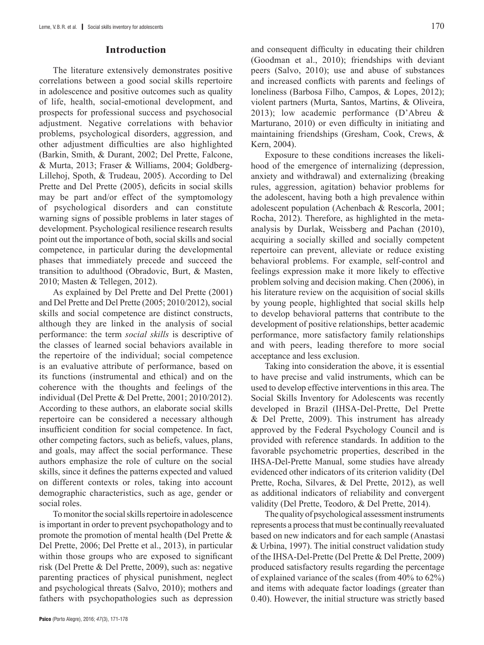# **Introduction**

The literature extensively demonstrates positive correlations between a good social skills repertoire in adolescence and positive outcomes such as quality of life, health, social-emotional development, and prospects for professional success and psychosocial adjustment. Negative correlations with behavior problems, psychological disorders, aggression, and other adjustment difficulties are also highlighted (Barkin, Smith, & Durant, 2002; Del Prette, Falcone, & Murta, 2013; Fraser & Williams, 2004; Goldberg-Lillehoj, Spoth, & Trudeau, 2005). According to Del Prette and Del Prette (2005), deficits in social skills may be part and/or effect of the symptomology of psychological disorders and can constitute warning signs of possible problems in later stages of development. Psychological resilience research results point out the importance of both, social skills and social competence, in particular during the developmental phases that immediately precede and succeed the transition to adulthood (Obradovic, Burt, & Masten, 2010; Masten & Tellegen, 2012).

As explained by Del Prette and Del Prette (2001) and Del Prette and Del Prette (2005; 2010/2012), social skills and social competence are distinct constructs, although they are linked in the analysis of social performance: the term *social skills* is descriptive of the classes of learned social behaviors available in the repertoire of the individual; social competence is an evaluative attribute of performance, based on its functions (instrumental and ethical) and on the coherence with the thoughts and feelings of the individual (Del Prette & Del Prette, 2001; 2010/2012). According to these authors, an elaborate social skills repertoire can be considered a necessary although insufficient condition for social competence. In fact, other competing factors, such as beliefs, values, plans, and goals, may affect the social performance. These authors emphasize the role of culture on the social skills, since it defines the patterns expected and valued on different contexts or roles, taking into account demographic characteristics, such as age, gender or social roles.

To monitor the social skills repertoire in adolescence is important in order to prevent psychopathology and to promote the promotion of mental health (Del Prette & Del Prette, 2006; Del Prette et al., 2013), in particular within those groups who are exposed to significant risk (Del Prette & Del Prette, 2009), such as: negative parenting practices of physical punishment, neglect and psychological threats (Salvo, 2010); mothers and fathers with psychopathologies such as depression

and consequent difficulty in educating their children (Goodman et al., 2010); friendships with deviant peers (Salvo, 2010); use and abuse of substances and increased conflicts with parents and feelings of loneliness (Barbosa Filho, Campos, & Lopes, 2012); violent partners (Murta, Santos, Martins, & Oliveira, 2013); low academic performance (D'Abreu & Marturano, 2010) or even difficulty in initiating and maintaining friendships (Gresham, Cook, Crews, & Kern, 2004).

Exposure to these conditions increases the likelihood of the emergence of internalizing (depression, anxiety and withdrawal) and externalizing (breaking rules, aggression, agitation) behavior problems for the adolescent, having both a high prevalence within adolescent population (Achenbach & Rescorla, 2001; Rocha, 2012). Therefore, as highlighted in the metaanalysis by Durlak, Weissberg and Pachan (2010), acquiring a socially skilled and socially competent repertoire can prevent, alleviate or reduce existing behavioral problems. For example, self-control and feelings expression make it more likely to effective problem solving and decision making. Chen (2006), in his literature review on the acquisition of social skills by young people, highlighted that social skills help to develop behavioral patterns that contribute to the development of positive relationships, better academic performance, more satisfactory family relationships and with peers, leading therefore to more social acceptance and less exclusion.

Taking into consideration the above, it is essential to have precise and valid instruments, which can be used to develop effective interventions in this area. The Social Skills Inventory for Adolescents was recently developed in Brazil (IHSA-Del-Prette, Del Prette & Del Prette, 2009). This instrument has already approved by the Federal Psychology Council and is provided with reference standards. In addition to the favorable psychometric properties, described in the IHSA-Del-Prette Manual, some studies have already evidenced other indicators of its criterion validity (Del Prette, Rocha, Silvares, & Del Prette, 2012), as well as additional indicators of reliability and convergent validity (Del Prette, Teodoro, & Del Prette, 2014).

The quality of psychological assessment instruments represents a process that must be continually reevaluated based on new indicators and for each sample (Anastasi & Urbina, 1997). The initial construct validation study of the IHSA-Del-Prette (Del Prette & Del Prette, 2009) produced satisfactory results regarding the percentage of explained variance of the scales (from 40% to 62%) and items with adequate factor loadings (greater than 0.40). However, the initial structure was strictly based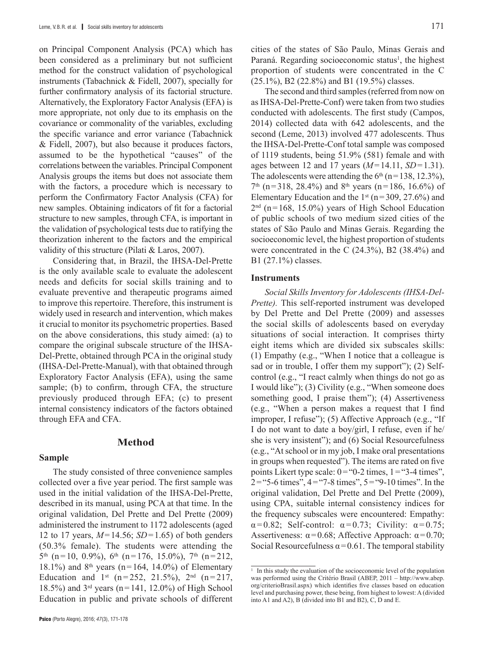on Principal Component Analysis (PCA) which has been considered as a preliminary but not sufficient method for the construct validation of psychological instruments (Tabachnick & Fidell, 2007), specially for further confirmatory analysis of its factorial structure. Alternatively, the Exploratory Factor Analysis (EFA) is more appropriate, not only due to its emphasis on the covariance or commonality of the variables, excluding the specific variance and error variance (Tabachnick & Fidell, 2007), but also because it produces factors, assumed to be the hypothetical "causes" of the correlations between the variables. Principal Component Analysis groups the items but does not associate them with the factors, a procedure which is necessary to perform the Confirmatory Factor Analysis (CFA) for new samples. Obtaining indicators of fit for a factorial structure to new samples, through CFA, is important in the validation of psychological tests due to ratifying the theorization inherent to the factors and the empirical validity of this structure (Pilati & Laros, 2007).

Considering that, in Brazil, the IHSA-Del-Prette is the only available scale to evaluate the adolescent needs and deficits for social skills training and to evaluate preventive and therapeutic programs aimed to improve this repertoire. Therefore, this instrument is widely used in research and intervention, which makes it crucial to monitor its psychometric properties. Based on the above considerations, this study aimed: (a) to compare the original subscale structure of the IHSA-Del-Prette, obtained through PCA in the original study (IHSA-Del-Prette-Manual), with that obtained through Exploratory Factor Analysis (EFA), using the same sample; (b) to confirm, through CFA, the structure previously produced through EFA; (c) to present internal consistency indicators of the factors obtained through EFA and CFA.

## **Method**

# **Sample**

The study consisted of three convenience samples collected over a five year period. The first sample was used in the initial validation of the IHSA-Del-Prette, described in its manual, using PCA at that time. In the original validation, Del Prette and Del Prette (2009) administered the instrument to 1172 adolescents (aged 12 to 17 years, *M*=14.56; *SD*=1.65) of both genders (50.3% female). The students were attending the  $5<sup>th</sup>$  (n=10, 0.9%), 6<sup>th</sup> (n=176, 15.0%), 7<sup>th</sup> (n=212, 18.1%) and  $8<sup>th</sup>$  years (n=164, 14.0%) of Elementary Education and 1<sup>st</sup> (n=252, 21.5%), 2<sup>nd</sup> (n=217, 18.5%) and  $3^{rd}$  years (n=141, 12.0%) of High School Education in public and private schools of different

cities of the states of São Paulo, Minas Gerais and Paraná. Regarding socioeconomic status<sup>1</sup>, the highest proportion of students were concentrated in the C (25.1%), B2 (22.8%) and B1 (19.5%) classes.

The second and third samples (referred from now on as IHSA-Del-Prette-Conf) were taken from two studies conducted with adolescents. The first study (Campos, 2014) collected data with 642 adolescents, and the second (Leme, 2013) involved 477 adolescents. Thus the IHSA-Del-Prette-Conf total sample was composed of 1119 students, being 51.9% (581) female and with ages between 12 and 17 years (*M*=14.11, *SD*=1.31). The adolescents were attending the  $6<sup>th</sup>$  (n=138, 12.3%),  $7<sup>th</sup>$  (n=318, 28.4%) and 8<sup>th</sup> years (n=186, 16.6%) of Elementary Education and the 1<sup>st</sup> ( $n=309, 27.6\%$ ) and  $2<sup>nd</sup>$  (n=168, 15.0%) years of High School Education of public schools of two medium sized cities of the states of São Paulo and Minas Gerais. Regarding the socioeconomic level, the highest proportion of students were concentrated in the C (24.3%), B2 (38.4%) and B1 (27.1%) classes.

## **Instruments**

*Social Skills Inventory for Adolescents (IHSA-Del-Prette*). This self-reported instrument was developed by Del Prette and Del Prette (2009) and assesses the social skills of adolescents based on everyday situations of social interaction. It comprises thirty eight items which are divided six subscales skills: (1) Empathy (e.g., "When I notice that a colleague is sad or in trouble, I offer them my support"); (2) Selfcontrol (e.g., "I react calmly when things do not go as I would like"); (3) Civility (e.g., "When someone does something good, I praise them"); (4) Assertiveness (e.g., "When a person makes a request that I find improper, I refuse"); (5) Affective Approach (e.g., "If I do not want to date a boy/girl, I refuse, even if he/ she is very insistent"); and (6) Social Resourcefulness (e.g., "At school or in my job, I make oral presentations in groups when requested"). The items are rated on five points Likert type scale:  $0 = -0.2$  times,  $1 = -3.4$  times",  $2 = 5-6$  times",  $4 = 7-8$  times",  $5 = 9-10$  times". In the original validation, Del Prette and Del Prette (2009), using CPA, suitable internal consistency indices for the frequency subscales were encountered: Empathy:  $\alpha = 0.82$ ; Self-control:  $\alpha = 0.73$ ; Civility:  $\alpha = 0.75$ ; Assertiveness:  $\alpha$ =0.68; Affective Approach:  $\alpha$ =0.70; Social Resourcefulness  $\alpha$ =0.61. The temporal stability

<sup>&</sup>lt;sup>1</sup> In this study the evaluation of the socioeconomic level of the population was performed using the Critério Brasil (ABEP, 2011 – http://www.abep. org/criterioBrasil.aspx) which identifies five classes based on education level and purchasing power, these being, from highest to lowest: A (divided into A1 and A2), B (divided into B1 and B2), C, D and E.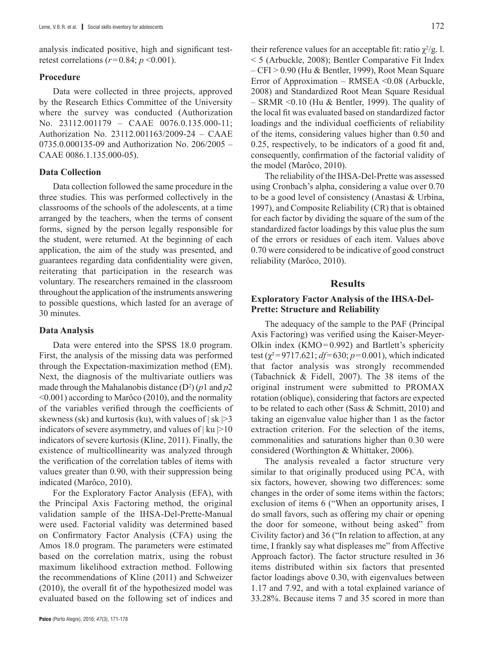analysis indicated positive, high and significant testretest correlations  $(r=0.84; p \le 0.001)$ .

### **Procedure**

Data were collected in three projects, approved by the Research Ethics Committee of the University where the survey was conducted (Authorization No. 23112.001179 – CAAE 0076.0.135.000-11; Authorization No. 23112.001163/2009-24 – CAAE 0735.0.000135-09 and Authorization No. 206/2005 – CAAE 0086.1.135.000-05).

### **Data Collection**

Data collection followed the same procedure in the three studies. This was performed collectively in the classrooms of the schools of the adolescents, at a time arranged by the teachers, when the terms of consent forms, signed by the person legally responsible for the student, were returned. At the beginning of each application, the aim of the study was presented, and guarantees regarding data confidentiality were given, reiterating that participation in the research was voluntary. The researchers remained in the classroom throughout the application of the instruments answering to possible questions, which lasted for an average of 30 minutes.

## **Data Analysis**

Data were entered into the SPSS 18.0 program. First, the analysis of the missing data was performed through the Expectation-maximization method (EM). Next, the diagnosis of the multivariate outliers was made through the Mahalanobis distance  $(D^2)$  ( $p1$  and  $p2$ <0.001) according to Marôco (2010), and the normality of the variables verified through the coefficients of skewness (sk) and kurtosis (ku), with values of  $|sk| > 3$ indicators of severe asymmetry, and values of  $|\text{ku}| > 10$ indicators of severe kurtosis (Kline, 2011). Finally, the existence of multicollinearity was analyzed through the verification of the correlation tables of items with values greater than 0.90, with their suppression being indicated (Marôco, 2010).

For the Exploratory Factor Analysis (EFA), with the Principal Axis Factoring method, the original validation sample of the IHSA-Del-Prette-Manual were used. Factorial validity was determined based on Confirmatory Factor Analysis (CFA) using the Amos 18.0 program. The parameters were estimated based on the correlation matrix, using the robust maximum likelihood extraction method. Following the recommendations of Kline (2011) and Schweizer (2010), the overall fit of the hypothesized model was evaluated based on the following set of indices and

their reference values for an acceptable fit: ratio  $\chi^2/g$ . l. < 5 (Arbuckle, 2008); Bentler Comparative Fit Index – CFI > 0.90 (Hu & Bentler, 1999), Root Mean Square Error of Approximation – RMSEA <0.08 (Arbuckle, 2008) and Standardized Root Mean Square Residual  $-$  SRMR <0.10 (Hu & Bentler, 1999). The quality of the local fit was evaluated based on standardized factor loadings and the individual coefficients of reliability of the items, considering values higher than 0.50 and 0.25, respectively, to be indicators of a good fit and, consequently, confirmation of the factorial validity of the model (Marôco, 2010).

The reliability of the IHSA-Del-Prette was assessed using Cronbach's alpha, considering a value over 0.70 to be a good level of consistency (Anastasi & Urbina, 1997), and Composite Reliability (CR) that is obtained for each factor by dividing the square of the sum of the standardized factor loadings by this value plus the sum of the errors or residues of each item. Values above 0.70 were considered to be indicative of good construct reliability (Marôco, 2010).

# **Results**

# **Exploratory Factor Analysis of the IHSA-Del-Prette: Structure and Reliability**

The adequacy of the sample to the PAF (Principal Axis Factoring) was verified using the Kaiser-Meyer-Olkin index (KMO=0.992) and Bartlett's sphericity test ( $\chi^2$ =9717.621; *df*=630; *p*=0.001), which indicated that factor analysis was strongly recommended (Tabachnick & Fidell, 2007). The 38 items of the original instrument were submitted to PROMAX rotation (oblique), considering that factors are expected to be related to each other (Sass & Schmitt, 2010) and taking an eigenvalue value higher than 1 as the factor extraction criterion. For the selection of the items, commonalities and saturations higher than 0.30 were considered (Worthington & Whittaker, 2006).

The analysis revealed a factor structure very similar to that originally produced using PCA, with six factors, however, showing two differences: some changes in the order of some items within the factors; exclusion of items 6 ("When an opportunity arises, I do small favors, such as offering my chair or opening the door for someone, without being asked" from Civility factor) and 36 ("In relation to affection, at any time, I frankly say what displeases me" from Affective Approach factor). The factor structure resulted in 36 items distributed within six factors that presented factor loadings above 0.30, with eigenvalues between 1.17 and 7.92, and with a total explained variance of 33.28%. Because items 7 and 35 scored in more than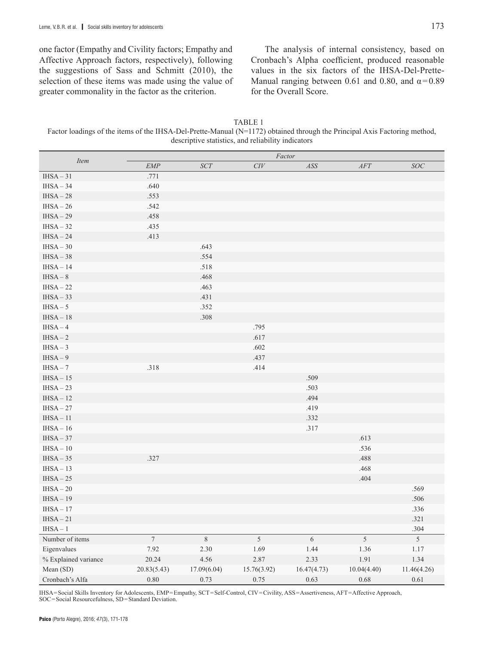one factor (Empathy and Civility factors; Empathy and Affective Approach factors, respectively), following the suggestions of Sass and Schmitt (2010), the selection of these items was made using the value of greater commonality in the factor as the criterion.

The analysis of internal consistency, based on Cronbach's Alpha coefficient, produced reasonable values in the six factors of the IHSA-Del-Prette-Manual ranging between 0.61 and 0.80, and  $\alpha$ =0.89 for the Overall Score.

| TABLE 1                                                                                                                   |
|---------------------------------------------------------------------------------------------------------------------------|
| Factor loadings of the items of the IHSA-Del-Prette-Manual (N=1172) obtained through the Principal Axis Factoring method, |
| descriptive statistics, and reliability indicators                                                                        |

|                      | Factor         |                |                |                |                      |                 |
|----------------------|----------------|----------------|----------------|----------------|----------------------|-----------------|
| <b>Item</b>          | EMP            | $\cal{S}CT$    | CIV            | ASS            | $\operatorname{AFT}$ | SOC             |
| $IHSA - 31$          | .771           |                |                |                |                      |                 |
| $IHSA - 34$          | .640           |                |                |                |                      |                 |
| $IHSA - 28$          | .553           |                |                |                |                      |                 |
| $IHSA - 26$          | .542           |                |                |                |                      |                 |
| $IHSA - 29$          | .458           |                |                |                |                      |                 |
| $IHSA - 32$          | .435           |                |                |                |                      |                 |
| $IHSA - 24$          | .413           |                |                |                |                      |                 |
| $IHSA - 30$          |                | .643           |                |                |                      |                 |
| $IHSA - 38$          |                | .554           |                |                |                      |                 |
| $IHSA - 14$          |                | .518           |                |                |                      |                 |
| $IHSA - 8$           |                | .468           |                |                |                      |                 |
| $IHSA - 22$          |                | .463           |                |                |                      |                 |
| $IHSA - 33$          |                | .431           |                |                |                      |                 |
| $IHSA - 5$           |                | .352           |                |                |                      |                 |
| $IHSA - 18$          |                | .308           |                |                |                      |                 |
| $IHSA - 4$           |                |                | .795           |                |                      |                 |
| $IHSA - 2$           |                |                | .617           |                |                      |                 |
| $IHSA - 3$           |                |                | .602           |                |                      |                 |
| $IHSA - 9$           |                |                | .437           |                |                      |                 |
| $IHSA - 7$           | .318           |                | .414           |                |                      |                 |
| $IHSA - 15$          |                |                |                | .509           |                      |                 |
| $IHSA - 23$          |                |                |                | .503           |                      |                 |
| $IHSA - 12$          |                |                |                | .494           |                      |                 |
| $IHSA - 27$          |                |                |                | .419           |                      |                 |
| $IHSA - 11$          |                |                |                | .332           |                      |                 |
| $IHSA - 16$          |                |                |                | .317           |                      |                 |
| $IHSA - 37$          |                |                |                |                | .613                 |                 |
| $IHSA - 10$          |                |                |                |                | .536                 |                 |
| $IHSA - 35$          | .327           |                |                |                | .488                 |                 |
| $IHSA - 13$          |                |                |                |                | .468                 |                 |
| $IHSA - 25$          |                |                |                |                | .404                 |                 |
| $IHSA - 20$          |                |                |                |                |                      | .569            |
| $IHSA - 19$          |                |                |                |                |                      | .506            |
| $IHSA - 17$          |                |                |                |                |                      | .336            |
| $IHSA - 21$          |                |                |                |                |                      | .321            |
| $IHSA - 1$           |                |                |                |                |                      | .304            |
| Number of items      | $\overline{7}$ | $\overline{8}$ | $\overline{5}$ | $\overline{6}$ | $\overline{5}$       | $5\overline{)}$ |
| Eigenvalues          | 7.92           | 2.30           | 1.69           | 1.44           | 1.36                 | 1.17            |
| % Explained variance | 20.24          | 4.56           | 2.87           | 2.33           | 1.91                 | 1.34            |
| Mean (SD)            | 20.83(5.43)    | 17.09(6.04)    | 15.76(3.92)    | 16.47(4.73)    | 10.04(4.40)          | 11.46(4.26)     |
| Cronbach's Alfa      | $0.80\,$       | 0.73           | 0.75           | 0.63           | $0.68\,$             | 0.61            |

IHSA=Social Skills Inventory for Adolescents, EMP=Empathy, SCT=Self-Control, CIV=Civility, ASS=Assertiveness, AFT=Affective Approach, SOC=Social Resourcefulness, SD=Standard Deviation.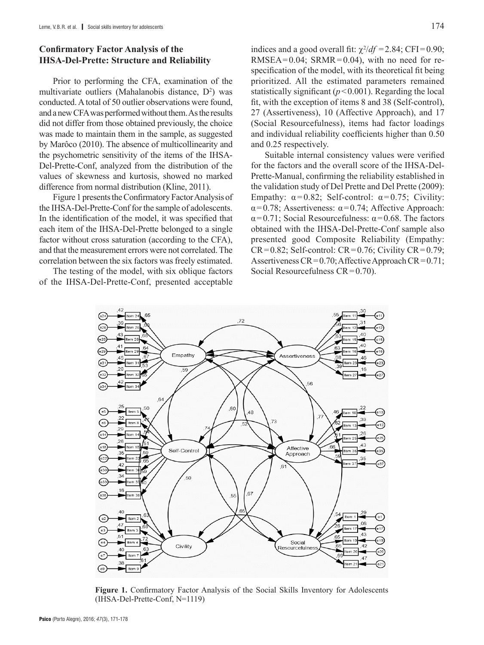# **Confirmatory Factor Analysis of the IHSA-Del-Prette: Structure and Reliability**

Prior to performing the CFA, examination of the multivariate outliers (Mahalanobis distance,  $D^2$ ) was conducted. A total of 50 outlier observations were found, and a new CFA was performed without them. As the results did not differ from those obtained previously, the choice was made to maintain them in the sample, as suggested by Marôco (2010). The absence of multicollinearity and the psychometric sensitivity of the items of the IHSA-Del-Prette-Conf, analyzed from the distribution of the values of skewness and kurtosis, showed no marked difference from normal distribution (Kline, 2011).

Figure 1 presents the Confirmatory Factor Analysis of the IHSA-Del-Prette-Conf for the sample of adolescents. In the identification of the model, it was specified that each item of the IHSA-Del-Prette belonged to a single factor without cross saturation (according to the CFA), and that the measurement errors were not correlated. The correlation between the six factors was freely estimated.

The testing of the model, with six oblique factors of the IHSA-Del-Prette-Conf, presented acceptable

indices and a good overall fit:  $\chi^2/df = 2.84$ ; CFI=0.90; RMSEA= $0.04$ ; SRMR= $0.04$ ), with no need for respecification of the model, with its theoretical fit being prioritized. All the estimated parameters remained statistically significant  $(p<0.001)$ . Regarding the local fit, with the exception of items 8 and 38 (Self-control), 27 (Assertiveness), 10 (Affective Approach), and 17 (Social Resourcefulness), items had factor loadings and individual reliability coefficients higher than 0.50 and 0.25 respectively.

Suitable internal consistency values were verified for the factors and the overall score of the IHSA-Del-Prette-Manual, confirming the reliability established in the validation study of Del Prette and Del Prette (2009): Empathy:  $\alpha = 0.82$ ; Self-control:  $\alpha = 0.75$ ; Civility:  $\alpha$ =0.78; Assertiveness:  $\alpha$ =0.74; Affective Approach:  $\alpha$ =0.71; Social Resourcefulness:  $\alpha$ =0.68. The factors obtained with the IHSA-Del-Prette-Conf sample also presented good Composite Reliability (Empathy:  $CR = 0.82$ ; Self-control:  $CR = 0.76$ ; Civility  $CR = 0.79$ ; Assertiveness CR=0.70; Affective Approach CR=0.71; Social Resourcefulness  $CR = 0.70$ .



**Figure 1.** Confirmatory Factor Analysis of the Social Skills Inventory for Adolescents (IHSA-Del-Prette-Conf, N=1119)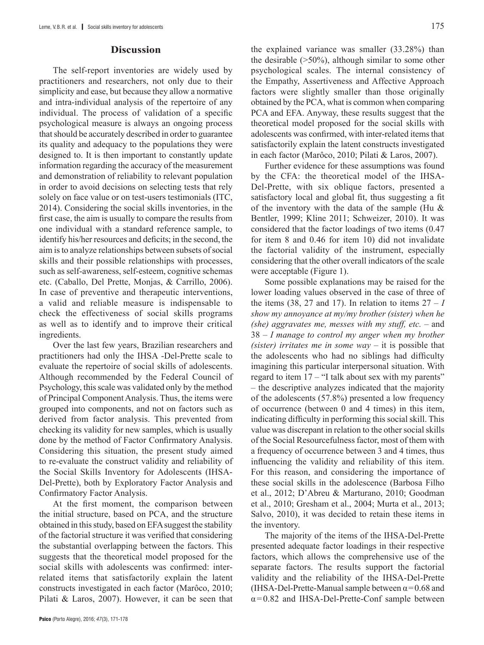# **Discussion**

The self-report inventories are widely used by practitioners and researchers, not only due to their simplicity and ease, but because they allow a normative and intra-individual analysis of the repertoire of any individual. The process of validation of a specific psychological measure is always an ongoing process that should be accurately described in order to guarantee its quality and adequacy to the populations they were designed to. It is then important to constantly update information regarding the accuracy of the measurement and demonstration of reliability to relevant population in order to avoid decisions on selecting tests that rely solely on face value or on test-users testimonials (ITC, 2014). Considering the social skills inventories, in the first case, the aim is usually to compare the results from one individual with a standard reference sample, to identify his/her resources and deficits; in the second, the aim is to analyze relationships between subsets of social skills and their possible relationships with processes, such as self-awareness, self-esteem, cognitive schemas etc. (Caballo, Del Prette, Monjas, & Carrillo, 2006). In case of preventive and therapeutic interventions, a valid and reliable measure is indispensable to check the effectiveness of social skills programs as well as to identify and to improve their critical ingredients.

Over the last few years, Brazilian researchers and practitioners had only the IHSA -Del-Prette scale to evaluate the repertoire of social skills of adolescents. Although recommended by the Federal Council of Psychology, this scale was validated only by the method of Principal Component Analysis. Thus, the items were grouped into components, and not on factors such as derived from factor analysis. This prevented from checking its validity for new samples, which is usually done by the method of Factor Confirmatory Analysis. Considering this situation, the present study aimed to re-evaluate the construct validity and reliability of the Social Skills Inventory for Adolescents (IHSA-Del-Prette), both by Exploratory Factor Analysis and Confirmatory Factor Analysis.

At the first moment, the comparison between the initial structure, based on PCA, and the structure obtained in this study, based on EFA suggest the stability of the factorial structure it was verified that considering the substantial overlapping between the factors. This suggests that the theoretical model proposed for the social skills with adolescents was confirmed: interrelated items that satisfactorily explain the latent constructs investigated in each factor (Marôco, 2010; Pilati & Laros, 2007). However, it can be seen that

the explained variance was smaller (33.28%) than the desirable  $(>=50\%)$ , although similar to some other psychological scales. The internal consistency of the Empathy, Assertiveness and Affective Approach factors were slightly smaller than those originally obtained by the PCA, what is common when comparing PCA and EFA. Anyway, these results suggest that the theoretical model proposed for the social skills with adolescents was confirmed, with inter-related items that satisfactorily explain the latent constructs investigated in each factor (Marôco, 2010; Pilati & Laros, 2007).

Further evidence for these assumptions was found by the CFA: the theoretical model of the IHSA-Del-Prette, with six oblique factors, presented a satisfactory local and global fit, thus suggesting a fit of the inventory with the data of the sample (Hu  $\&$ Bentler, 1999; Kline 2011; Schweizer, 2010). It was considered that the factor loadings of two items (0.47 for item 8 and 0.46 for item 10) did not invalidate the factorial validity of the instrument, especially considering that the other overall indicators of the scale were acceptable (Figure 1).

Some possible explanations may be raised for the lower loading values observed in the case of three of the items  $(38, 27, 27)$  and 17). In relation to items  $27 - I$ *show my annoyance at my/my brother (sister) when he (she) aggravates me, messes with my stuff, etc.* – and 38 – *I manage to control my anger when my brother (sister) irritates me in some way* – it is possible that the adolescents who had no siblings had difficulty imagining this particular interpersonal situation. With regard to item  $17 -$  "I talk about sex with my parents" – the descriptive analyzes indicated that the majority of the adolescents (57.8%) presented a low frequency of occurrence (between 0 and 4 times) in this item, indicating difficulty in performing this social skill. This value was discrepant in relation to the other social skills of the Social Resourcefulness factor, most of them with a frequency of occurrence between 3 and 4 times, thus influencing the validity and reliability of this item. For this reason, and considering the importance of these social skills in the adolescence (Barbosa Filho et al., 2012; D'Abreu & Marturano, 2010; Goodman et al., 2010; Gresham et al., 2004; Murta et al., 2013; Salvo, 2010), it was decided to retain these items in the inventory.

The majority of the items of the IHSA-Del-Prette presented adequate factor loadings in their respective factors, which allows the comprehensive use of the separate factors. The results support the factorial validity and the reliability of the IHSA-Del-Prette (IHSA-Del-Prette-Manual sample between  $\alpha$ =0.68 and  $\alpha$ =0.82 and IHSA-Del-Prette-Conf sample between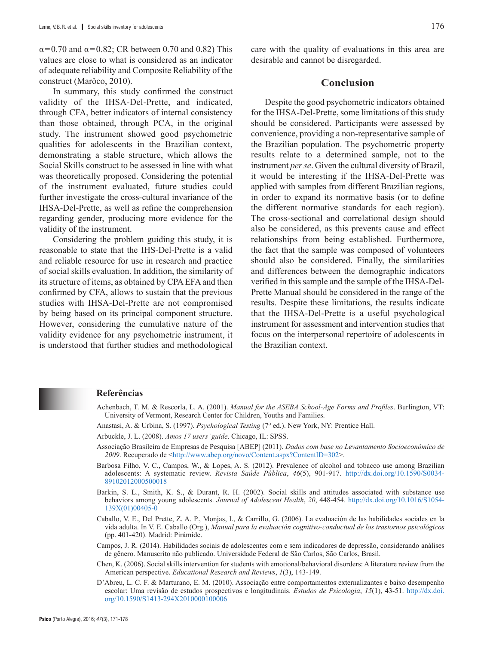$\alpha$ =0.70 and  $\alpha$ =0.82; CR between 0.70 and 0.82) This values are close to what is considered as an indicator of adequate reliability and Composite Reliability of the construct (Marôco, 2010).

In summary, this study confirmed the construct validity of the IHSA-Del-Prette, and indicated, through CFA, better indicators of internal consistency than those obtained, through PCA, in the original study. The instrument showed good psychometric qualities for adolescents in the Brazilian context, demonstrating a stable structure, which allows the Social Skills construct to be assessed in line with what was theoretically proposed. Considering the potential of the instrument evaluated, future studies could further investigate the cross-cultural invariance of the IHSA-Del-Prette, as well as refine the comprehension regarding gender, producing more evidence for the validity of the instrument.

Considering the problem guiding this study, it is reasonable to state that the IHS-Del-Prette is a valid and reliable resource for use in research and practice of social skills evaluation. In addition, the similarity of its structure of items, as obtained by CPA EFA and then confirmed by CFA, allows to sustain that the previous studies with IHSA-Del-Prette are not compromised by being based on its principal component structure. However, considering the cumulative nature of the validity evidence for any psychometric instrument, it is understood that further studies and methodological

care with the quality of evaluations in this area are desirable and cannot be disregarded.

# **Conclusion**

Despite the good psychometric indicators obtained for the IHSA-Del-Prette, some limitations of this study should be considered. Participants were assessed by convenience, providing a non-representative sample of the Brazilian population. The psychometric property results relate to a determined sample, not to the instrument *per se*. Given the cultural diversity of Brazil, it would be interesting if the IHSA-Del-Prette was applied with samples from different Brazilian regions, in order to expand its normative basis (or to define the different normative standards for each region). The cross-sectional and correlational design should also be considered, as this prevents cause and effect relationships from being established. Furthermore, the fact that the sample was composed of volunteers should also be considered. Finally, the similarities and differences between the demographic indicators verified in this sample and the sample of the IHSA-Del-Prette Manual should be considered in the range of the results. Despite these limitations, the results indicate that the IHSA-Del-Prette is a useful psychological instrument for assessment and intervention studies that focus on the interpersonal repertoire of adolescents in the Brazilian context.

# **Referências**

- Achenbach, T. M. & Rescorla, L. A. (2001). *Manual for the ASEBA School-Age Forms and Profiles*. Burlington, VT: University of Vermont, Research Center for Children, Youths and Families.
- Anastasi, A. & Urbina, S. (1997). *Psychological Testing* (7ª ed.). New York, NY: Prentice Hall.
- Arbuckle, J. L. (2008). *Amos 17 users' guide*. Chicago, IL: SPSS.
- Associação Brasileira de Empresas de Pesquisa [ABEP] (2011). *Dados com base no Levantamento Socioeconômico de 2009*. Recuperado de <http://www.abep.org/novo/Content.aspx?ContentID=302>.
- Barbosa Filho, V. C., Campos, W., & Lopes, A. S. (2012). Prevalence of alcohol and tobacco use among Brazilian adolescents: A systematic review. *Revista Saúde Pública*, *46*(5), 901-917. [http://dx.doi.org/10.1590/S0034-](http://dx.doi.org/10.1590/S0034-89102012000500018) [89102012000500018](http://dx.doi.org/10.1590/S0034-89102012000500018)
- Barkin, S. L., Smith, K. S., & Durant, R. H. (2002). Social skills and attitudes associated with substance use behaviors among young adolescents. *Journal of Adolescent Health*, *20*, 448-454. [http://dx.doi.org/10.1016/S1054-](http://dx.doi.org/10.1016/S1054-139X(01)00405-0) [139X\(01\)00405-0](http://dx.doi.org/10.1016/S1054-139X(01)00405-0)
- Caballo, V. E., Del Prette, Z. A. P., Monjas, I., & Carrillo, G. (2006). La evaluación de las habilidades sociales en la vida adulta. In V. E. Caballo (Org.), *Manual para la evaluación cognitivo-conductual de los trastornos psicológicos* (pp. 401-420). Madrid: Pirámide.
- Campos, J. R. (2014). Habilidades sociais de adolescentes com e sem indicadores de depressão, considerando análises de gênero. Manuscrito não publicado. Universidade Federal de São Carlos, São Carlos, Brasil.
- Chen, K. (2006). Social skills intervention for students with emotional/behavioral disorders: A literature review from the American perspective. *Educational Research and Reviews*, *1*(3), 143-149.
- D'Abreu, L. C. F. & Marturano, E. M. (2010). Associação entre comportamentos externalizantes e baixo desempenho escolar: Uma revisão de estudos prospectivos e longitudinais. *Estudos de Psicologia*, *15*(1), 43-51. [http://dx.doi.](http://dx.doi.org/10.1590/S1413-294X2010000100006) [org/10.1590/S1413-294X2010000100006](http://dx.doi.org/10.1590/S1413-294X2010000100006)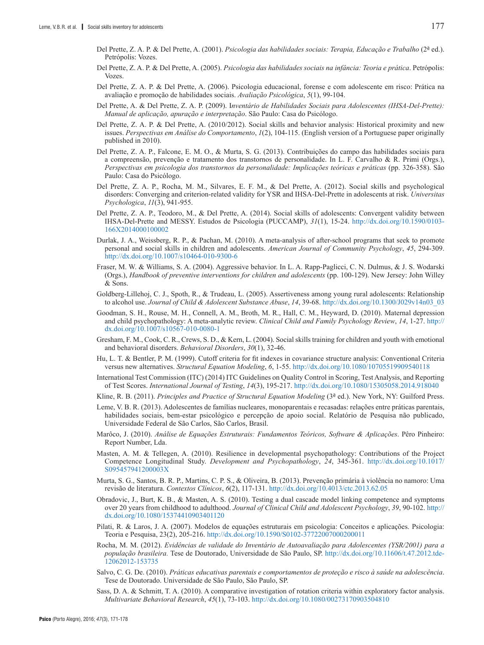- Del Prette, Z. A. P. & Del Prette, A. (2001). *Psicologia das habilidades sociais: Terapia, Educação e Trabalho* (2ª ed.). Petrópolis: Vozes.
- Del Prette, Z. A. P. & Del Prette, A. (2005). *Psicologia das habilidades sociais na infância: Teoria e prática*. Petrópolis: Vozes.
- Del Prette, Z. A. P. & Del Prette, A. (2006). Psicologia educacional, forense e com adolescente em risco: Prática na avaliação e promoção de habilidades sociais. *Avaliação Psicológica*, *5*(1), 99-104.
- Del Prette, A. & Del Prette, Z. A. P. (2009). I*nventário de Habilidades Sociais para Adolescentes (IHSA-Del-Prette): Manual de aplicação, apuração e interpretação*. São Paulo: Casa do Psicólogo.
- Del Prette, Z. A. P. & Del Prette, A. (2010/2012). Social skills and behavior analysis: Historical proximity and new issues. *Perspectivas em Análise do Comportamento*, *1*(2), 104-115. (English version of a Portuguese paper originally published in 2010).
- Del Prette, Z. A. P., Falcone, E. M. O., & Murta, S. G. (2013). Contribuições do campo das habilidades sociais para a compreensão, prevenção e tratamento dos transtornos de personalidade. In L. F. Carvalho & R. Primi (Orgs.), *Perspectivas em psicologia dos transtornos da personalidade: Implicações teóricas e práticas* (pp. 326-358). São Paulo: Casa do Psicólogo.
- Del Prette, Z. A. P., Rocha, M. M., Silvares, E. F. M., & Del Prette, A. (2012). Social skills and psychological disorders: Converging and criterion-related validity for YSR and IHSA-Del-Prette in adolescents at risk. *Universitas Psychologica*, *11*(3), 941-955.
- Del Prette, Z. A. P., Teodoro, M., & Del Prette, A. (2014). Social skills of adolescents: Convergent validity between IHSA-Del-Prette and MESSY. Estudos de Psicologia (PUCCAMP), *31*(1), 15-24. [http://dx.doi.org/10.1590/0103-](http://dx.doi.org/10.1590/0103-166X2014000100002) [166X2014000100002](http://dx.doi.org/10.1590/0103-166X2014000100002)
- Durlak, J. A., Weissberg, R. P., & Pachan, M. (2010). A meta-analysis of after-school programs that seek to promote personal and social skills in children and adolescents. *American Journal of Community Psychology*, *45*, 294-309. <http://dx.doi.org/10.1007/s10464-010-9300-6>
- Fraser, M. W. & Williams, S. A. (2004). Aggressive behavior. In L. A. Rapp-Paglicci, C. N. Dulmus, & J. S. Wodarski (Orgs.), *Handbook of preventive interventions for children and adolescents* (pp. 100-129). New Jersey: John Willey & Sons.
- Goldberg-Lillehoj, C. J., Spoth, R., & Trudeau, L. (2005). Assertiveness among young rural adolescents: Relationship to alcohol use. *Journal of Child & Adolescent Substance Abuse*, *14*, 39-68. [http://dx.doi.org/10.1300/J029v14n03\\_03](http://dx.doi.org/10.1300/J029v14n03_03)
- Goodman, S. H., Rouse, M. H., Connell, A. M., Broth, M. R., Hall, C. M., Heyward, D. (2010). Maternal depression and child psychopathology: A meta-analytic review. *Clinical Child and Family Psychology Review*, *14*, 1-27. [http://](http://dx.doi.org/10.1007/s10567-010-0080-1) [dx.doi.org/10.1007/s10567-010-0080-1](http://dx.doi.org/10.1007/s10567-010-0080-1)
- Gresham, F. M., Cook, C. R., Crews, S. D., & Kern, L. (2004). Social skills training for children and youth with emotional and behavioral disorders. *Behavioral Disorders*, *30*(1), 32-46.
- Hu, L. T. & Bentler, P. M. (1999). Cutoff criteria for fit indexes in covariance structure analysis: Conventional Criteria versus new alternatives. *Structural Equation Modeling*, *6*, 1-55.<http://dx.doi.org/10.1080/10705519909540118>
- International Test Commission (ITC) (2014) ITC Guidelines on Quality Control in Scoring, Test Analysis, and Reporting of Test Scores. *International Journal of Testing*, *14*(3), 195-217.<http://dx.doi.org/10.1080/15305058.2014.918040>
- Kline, R. B. (2011). *Principles and Practice of Structural Equation Modeling* (3ª ed.). New York, NY: Guilford Press.
- Leme, V. B. R. (2013). Adolescentes de famílias nucleares, monoparentais e recasadas: relações entre práticas parentais, habilidades sociais, bem-estar psicológico e percepção de apoio social. Relatório de Pesquisa não publicado, Universidade Federal de São Carlos, São Carlos, Brasil.
- Marôco, J. (2010). *Análise de Equações Estruturais: Fundamentos Teóricos, Software & Aplicações*. Pêro Pinheiro: Report Number, Lda.
- Masten, A. M. & Tellegen, A. (2010). Resilience in developmental psychopathology: Contributions of the Project Competence Longitudinal Study. *Development and Psychopathology*, *24*, 345-361. [http://dx.doi.org/10.1017/](http://dx.doi.org/10.1017/S095457941200003X) [S095457941200003X](http://dx.doi.org/10.1017/S095457941200003X)
- Murta, S. G., Santos, B. R. P., Martins, C. P. S., & Oliveira, B. (2013). Prevenção primária à violência no namoro: Uma revisão de literatura. *Contextos Clínicos*, *6*(2), 117-131.<http://dx.doi.org/10.4013/ctc.2013.62.05>
- Obradovic, J., Burt, K. B., & Masten, A. S. (2010). Testing a dual cascade model linking competence and symptoms over 20 years from childhood to adulthood. *Journal of Clinical Child and Adolescent Psychology*, *39*, 90-102. [http://](http://dx.doi.org/10.1080/15374410903401120) [dx.doi.org/10.1080/15374410903401120](http://dx.doi.org/10.1080/15374410903401120)
- Pilati, R. & Laros, J. A. (2007). Modelos de equações estruturais em psicologia: Conceitos e aplicações. Psicologia: Teoria e Pesquisa, 23(2), 205-216. <http://dx.doi.org/10.1590/S0102-37722007000200011>
- Rocha, M. M. (2012). *Evidências de validade do Inventário de Autoavaliação para Adolescentes (YSR/2001) para a população brasileira.* Tese de Doutorado, Universidade de São Paulo, SP. [http://dx.doi.org/10.11606/t.47.2012.tde-](http://dx.doi.org/10.11606/t.47.2012.tde-12062012-153735)[12062012-153735](http://dx.doi.org/10.11606/t.47.2012.tde-12062012-153735)
- Salvo, C. G. De. (2010). *Práticas educativas parentais e comportamentos de proteção e risco à saúde na adolescência*. Tese de Doutorado. Universidade de São Paulo, São Paulo, SP.
- Sass, D. A. & Schmitt, T. A. (2010). A comparative investigation of rotation criteria within exploratory factor analysis. *Multivariate Behavioral Research*, *45*(1), 73-103.<http://dx.doi.org/10.1080/00273170903504810>